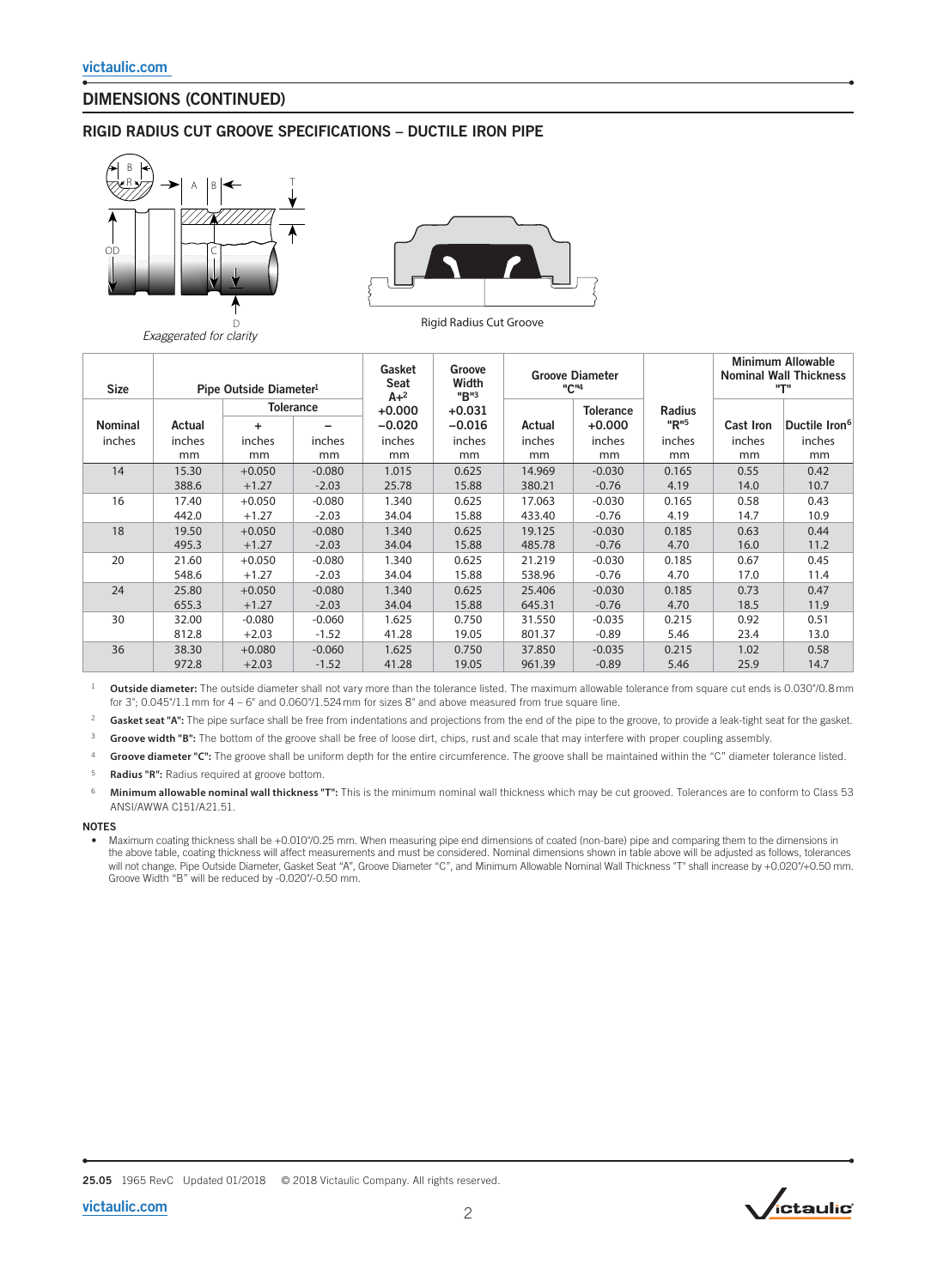# DIMENSIONS (CONTINUED)

### RIGID RADIUS CUT GROOVE SPECIFICATIONS – DUCTILE IRON PIPE



*Exaggerated for clarity*



| <b>Size</b>    | Pipe Outside Diameter <sup>1</sup> |          |                  | Gasket<br>Seat<br>$A + 2$ | Groove<br>Width<br>"B"3 | <b>Groove Diameter</b><br>"C" <sup>4</sup> |                              |                       | <b>Minimum Allowable</b><br><b>Nominal Wall Thickness</b><br>"Т" |                           |
|----------------|------------------------------------|----------|------------------|---------------------------|-------------------------|--------------------------------------------|------------------------------|-----------------------|------------------------------------------------------------------|---------------------------|
| <b>Nominal</b> | Actual                             | ٠        | <b>Tolerance</b> | $+0.000$<br>$-0.020$      | $+0.031$<br>$-0.016$    | Actual                                     | <b>Tolerance</b><br>$+0.000$ | <b>Radius</b><br>"R"5 | <b>Cast Iron</b>                                                 | Ductile Iron <sup>6</sup> |
| inches         | inches                             | inches   | inches           | inches                    | inches                  | inches                                     | inches                       | inches                | inches                                                           | inches                    |
|                | mm                                 | mm       | mm               | mm                        | mm                      | mm                                         | mm                           | mm                    | mm                                                               | mm                        |
| 14             | 15.30                              | $+0.050$ | $-0.080$         | 1.015                     | 0.625                   | 14.969                                     | $-0.030$                     | 0.165                 | 0.55                                                             | 0.42                      |
|                | 388.6                              | $+1.27$  | $-2.03$          | 25.78                     | 15.88                   | 380.21                                     | $-0.76$                      | 4.19                  | 14.0                                                             | 10.7                      |
| 16             | 17.40                              | $+0.050$ | $-0.080$         | 1.340                     | 0.625                   | 17.063                                     | $-0.030$                     | 0.165                 | 0.58                                                             | 0.43                      |
|                | 442.0                              | $+1.27$  | $-2.03$          | 34.04                     | 15.88                   | 433.40                                     | $-0.76$                      | 4.19                  | 14.7                                                             | 10.9                      |
| 18             | 19.50                              | $+0.050$ | $-0.080$         | 1.340                     | 0.625                   | 19.125                                     | $-0.030$                     | 0.185                 | 0.63                                                             | 0.44                      |
|                | 495.3                              | $+1.27$  | $-2.03$          | 34.04                     | 15.88                   | 485.78                                     | $-0.76$                      | 4.70                  | 16.0                                                             | 11.2                      |
| 20             | 21.60                              | $+0.050$ | $-0.080$         | 1.340                     | 0.625                   | 21.219                                     | $-0.030$                     | 0.185                 | 0.67                                                             | 0.45                      |
|                | 548.6                              | $+1.27$  | $-2.03$          | 34.04                     | 15.88                   | 538.96                                     | $-0.76$                      | 4.70                  | 17.0                                                             | 11.4                      |
| 24             | 25.80                              | $+0.050$ | $-0.080$         | 1.340                     | 0.625                   | 25.406                                     | $-0.030$                     | 0.185                 | 0.73                                                             | 0.47                      |
|                | 655.3                              | $+1.27$  | $-2.03$          | 34.04                     | 15.88                   | 645.31                                     | $-0.76$                      | 4.70                  | 18.5                                                             | 11.9                      |
| 30             | 32.00                              | $-0.080$ | $-0.060$         | 1.625                     | 0.750                   | 31.550                                     | $-0.035$                     | 0.215                 | 0.92                                                             | 0.51                      |
|                | 812.8                              | $+2.03$  | $-1.52$          | 41.28                     | 19.05                   | 801.37                                     | $-0.89$                      | 5.46                  | 23.4                                                             | 13.0                      |
| 36             | 38.30                              | $+0.080$ | $-0.060$         | 1.625                     | 0.750                   | 37.850                                     | $-0.035$                     | 0.215                 | 1.02                                                             | 0.58                      |
|                | 972.8                              | $+2.03$  | $-1.52$          | 41.28                     | 19.05                   | 961.39                                     | $-0.89$                      | 5.46                  | 25.9                                                             | 14.7                      |

<sup>1</sup> Outside diameter: The outside diameter shall not vary more than the tolerance listed. The maximum allowable tolerance from square cut ends is 0.030°/0.8 mm for 3"; 0.045"/1.1 mm for 4 – 6" and 0.060"/1.524 mm for sizes 8" and above measured from true square line.

<sup>2</sup> Gasket seat "A": The pipe surface shall be free from indentations and projections from the end of the pipe to the groove, to provide a leak-tight seat for the gasket.

3 **Groove width "B":** The bottom of the groove shall be free of loose dirt, chips, rust and scale that may interfere with proper coupling assembly.

4 **Groove diameter "C":** The groove shall be uniform depth for the entire circumference. The groove shall be maintained within the "C" diameter tolerance listed.

5 **Radius "R":** Radius required at groove bottom.

6 **Minimum allowable nominal wall thickness "T":** This is the minimum nominal wall thickness which may be cut grooved. Tolerances are to conform to Class 53 ANSI/AWWA C151/A21.51.

### **NOTES**

• Maximum coating thickness shall be +0.010"/0.25 mm. When measuring pipe end dimensions of coated (non-bare) pipe and comparing them to the dimensions in the above table, coating thickness will affect measurements and must be considered. Nominal dimensions shown in table above will be adjusted as follows, tolerances will not change. Pipe Outside Diameter, Gasket Seat "A", Groove Diameter "C", and Minimum Allowable Nominal Wall Thickness "T" shall increase by +0.020"/+0.50 mm.<br>Groove Width "B" will be reduced by -0.020"/-0.50 mm.

25.05 1965 RevC Updated 01/2018 © 2018 Victaulic Company. All rights reserved.



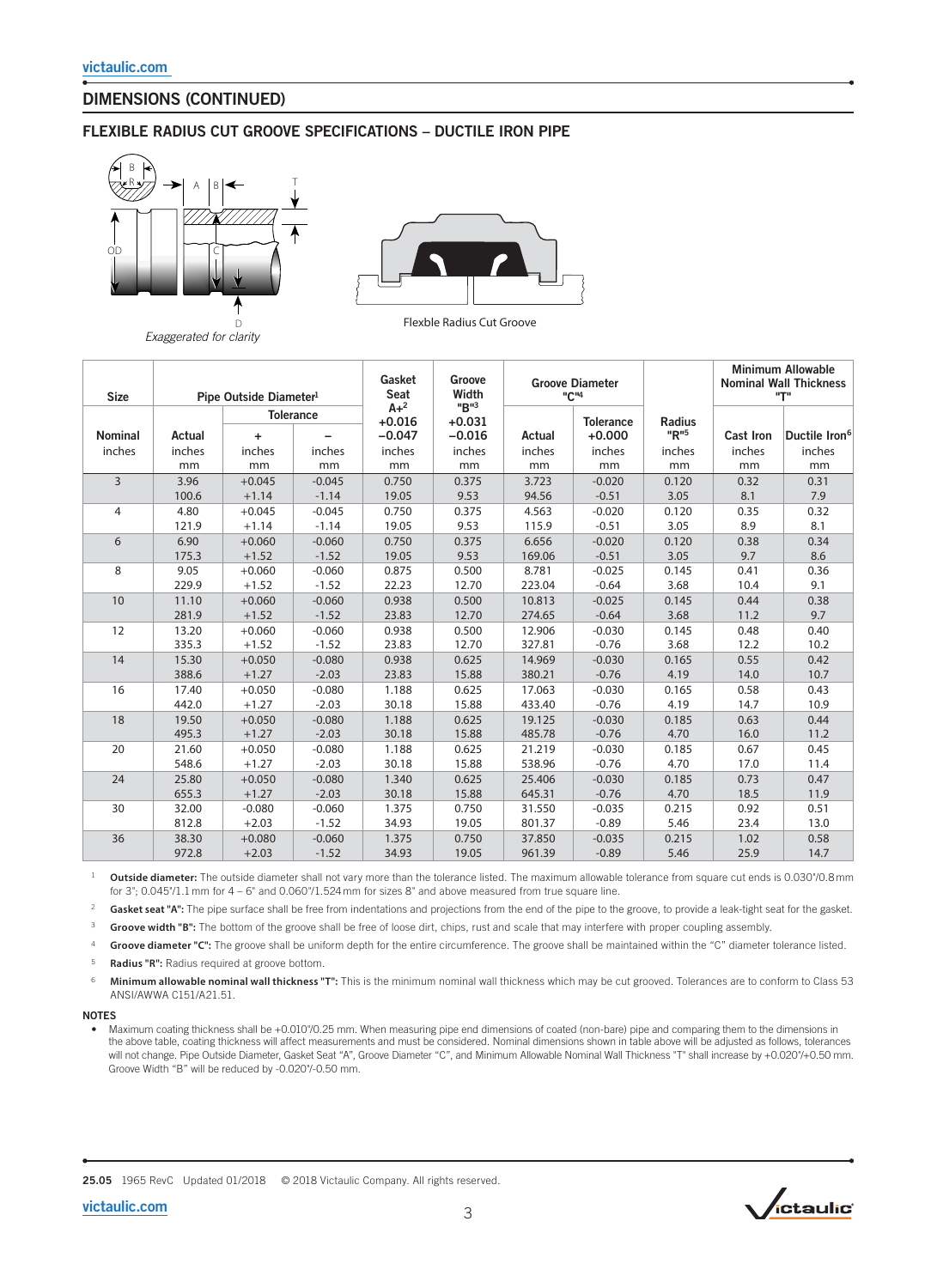# DIMENSIONS (CONTINUED)

## FLEXIBLE RADIUS CUT GROOVE SPECIFICATIONS – DUCTILE IRON PIPE





*Exaggerated for clarity*

Flexble Radius Cut Groove

| <b>Size</b>    | Pipe Outside Diameter <sup>1</sup> |                  |          | Gasket<br>Seat      | Groove<br>Width  | <b>Groove Diameter</b><br>"C" <sup>4</sup> |                  |        | <b>Minimum Allowable</b><br><b>Nominal Wall Thickness</b><br>"ד" |                           |
|----------------|------------------------------------|------------------|----------|---------------------|------------------|--------------------------------------------|------------------|--------|------------------------------------------------------------------|---------------------------|
|                |                                    | <b>Tolerance</b> |          | $A + 2$<br>$+0.016$ | "B"3<br>$+0.031$ |                                            | <b>Tolerance</b> | Radius |                                                                  |                           |
| <b>Nominal</b> | Actual                             | ÷                |          | $-0.047$            | $-0.016$         | Actual                                     | $+0.000$         | "R"5   | <b>Cast Iron</b>                                                 | Ductile Iron <sup>6</sup> |
| inches         | inches                             | inches           | inches   | inches              | inches           | inches                                     | inches           | inches | inches                                                           | inches                    |
|                | mm                                 | mm               | mm       | mm                  | mm               | mm                                         | mm               | mm     | mm                                                               | mm                        |
| $\overline{3}$ | 3.96                               | $+0.045$         | $-0.045$ | 0.750               | 0.375            | 3.723                                      | $-0.020$         | 0.120  | 0.32                                                             | 0.31                      |
|                | 100.6                              | $+1.14$          | $-1.14$  | 19.05               | 9.53             | 94.56                                      | $-0.51$          | 3.05   | 8.1                                                              | 7.9                       |
| 4              | 4.80                               | $+0.045$         | $-0.045$ | 0.750               | 0.375            | 4.563                                      | $-0.020$         | 0.120  | 0.35                                                             | 0.32                      |
|                | 121.9                              | $+1.14$          | $-1.14$  | 19.05               | 9.53             | 115.9                                      | $-0.51$          | 3.05   | 8.9                                                              | 8.1                       |
| 6              | 6.90                               | $+0.060$         | $-0.060$ | 0.750               | 0.375            | 6.656                                      | $-0.020$         | 0.120  | 0.38                                                             | 0.34                      |
|                | 175.3                              | $+1.52$          | $-1.52$  | 19.05               | 9.53             | 169.06                                     | $-0.51$          | 3.05   | 9.7                                                              | 8.6                       |
| 8              | 9.05                               | $+0.060$         | $-0.060$ | 0.875               | 0.500            | 8.781                                      | $-0.025$         | 0.145  | 0.41                                                             | 0.36                      |
|                | 229.9                              | $+1.52$          | $-1.52$  | 22.23               | 12.70            | 223.04                                     | $-0.64$          | 3.68   | 10.4                                                             | 9.1                       |
| 10             | 11.10                              | $+0.060$         | $-0.060$ | 0.938               | 0.500            | 10.813                                     | $-0.025$         | 0.145  | 0.44                                                             | 0.38                      |
|                | 281.9                              | $+1.52$          | $-1.52$  | 23.83               | 12.70            | 274.65                                     | $-0.64$          | 3.68   | 11.2                                                             | 9.7                       |
| 12             | 13.20                              | $+0.060$         | $-0.060$ | 0.938               | 0.500            | 12.906                                     | $-0.030$         | 0.145  | 0.48                                                             | 0.40                      |
|                | 335.3                              | $+1.52$          | $-1.52$  | 23.83               | 12.70            | 327.81                                     | $-0.76$          | 3.68   | 12.2                                                             | 10.2                      |
| 14             | 15.30                              | $+0.050$         | $-0.080$ | 0.938               | 0.625            | 14.969                                     | $-0.030$         | 0.165  | 0.55                                                             | 0.42                      |
|                | 388.6                              | $+1.27$          | $-2.03$  | 23.83               | 15.88            | 380.21                                     | $-0.76$          | 4.19   | 14.0                                                             | 10.7                      |
| 16             | 17.40                              | $+0.050$         | $-0.080$ | 1.188               | 0.625            | 17.063                                     | $-0.030$         | 0.165  | 0.58                                                             | 0.43                      |
|                | 442.0                              | $+1.27$          | $-2.03$  | 30.18               | 15.88            | 433.40                                     | $-0.76$          | 4.19   | 14.7                                                             | 10.9                      |
| 18             | 19.50                              | $+0.050$         | $-0.080$ | 1.188               | 0.625            | 19.125                                     | $-0.030$         | 0.185  | 0.63                                                             | 0.44                      |
|                | 495.3                              | $+1.27$          | $-2.03$  | 30.18               | 15.88            | 485.78                                     | $-0.76$          | 4.70   | 16.0                                                             | 11.2                      |
| 20             | 21.60                              | $+0.050$         | $-0.080$ | 1.188               | 0.625            | 21.219                                     | $-0.030$         | 0.185  | 0.67                                                             | 0.45                      |
|                | 548.6                              | $+1.27$          | $-2.03$  | 30.18               | 15.88            | 538.96                                     | $-0.76$          | 4.70   | 17.0                                                             | 11.4                      |
| 24             | 25.80                              | $+0.050$         | $-0.080$ | 1.340               | 0.625            | 25.406                                     | $-0.030$         | 0.185  | 0.73                                                             | 0.47                      |
|                | 655.3                              | $+1.27$          | $-2.03$  | 30.18               | 15.88            | 645.31                                     | $-0.76$          | 4.70   | 18.5                                                             | 11.9                      |
| 30             | 32.00                              | $-0.080$         | $-0.060$ | 1.375               | 0.750            | 31.550                                     | $-0.035$         | 0.215  | 0.92                                                             | 0.51                      |
|                | 812.8                              | $+2.03$          | $-1.52$  | 34.93               | 19.05            | 801.37                                     | $-0.89$          | 5.46   | 23.4                                                             | 13.0                      |
| 36             | 38.30                              | $+0.080$         | $-0.060$ | 1.375               | 0.750            | 37.850                                     | $-0.035$         | 0.215  | 1.02                                                             | 0.58                      |
|                | 972.8                              | $+2.03$          | $-1.52$  | 34.93               | 19.05            | 961.39                                     | $-0.89$          | 5.46   | 25.9                                                             | 14.7                      |

<sup>1</sup> Outside diameter: The outside diameter shall not vary more than the tolerance listed. The maximum allowable tolerance from square cut ends is 0.030°/0.8 mm for 3"; 0.045"/1.1 mm for 4 – 6" and 0.060"/1.524 mm for sizes 8" and above measured from true square line.

<sup>2</sup> Gasket seat "A": The pipe surface shall be free from indentations and projections from the end of the pipe to the groove, to provide a leak-tight seat for the gasket.

3 **Groove width "B":** The bottom of the groove shall be free of loose dirt, chips, rust and scale that may interfere with proper coupling assembly.

Groove diameter "C": The groove shall be uniform depth for the entire circumference. The groove shall be maintained within the "C" diameter tolerance listed.

5 **Radius "R":** Radius required at groove bottom.

6 **Minimum allowable nominal wall thickness "T":** This is the minimum nominal wall thickness which may be cut grooved. Tolerances are to conform to Class 53 ANSI/AWWA C151/A21.51.

### NOTES

• Maximum coating thickness shall be +0.010"/0.25 mm. When measuring pipe end dimensions of coated (non-bare) pipe and comparing them to the dimensions in the above table, coating thickness will affect measurements and must be considered. Nominal dimensions shown in table above will be adjusted as follows, tolerances will not change. Pipe Outside Diameter, Gasket Seat "A", Groove Diameter "C", and Minimum Allowable Nominal Wall Thickness "T" shall increase by +0.020"/+0.50 mm. Groove Width "B" will be reduced by -0.020"/-0.50 mm.